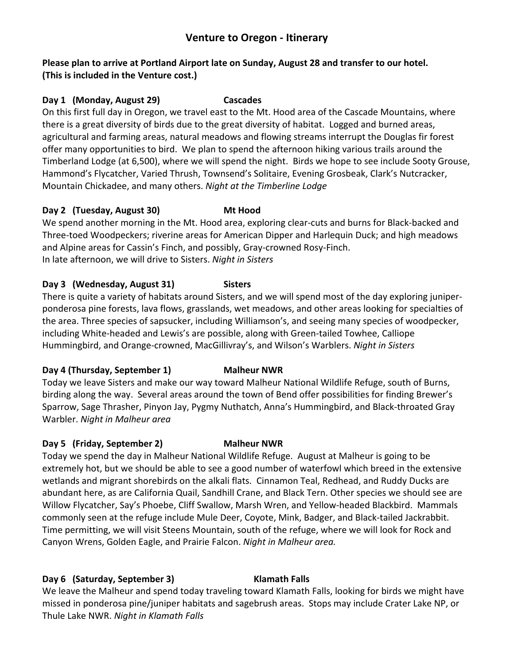# **Venture to Oregon - Itinerary**

### **Please plan to arrive at Portland Airport late on Sunday, August 28 and transfer to our hotel. (This is included in the Venture cost.)**

## **Day 1 (Monday, August 29) Cascades**

On this first full day in Oregon, we travel east to the Mt. Hood area of the Cascade Mountains, where there is a great diversity of birds due to the great diversity of habitat. Logged and burned areas, agricultural and farming areas, natural meadows and flowing streams interrupt the Douglas fir forest offer many opportunities to bird. We plan to spend the afternoon hiking various trails around the Timberland Lodge (at 6,500), where we will spend the night. Birds we hope to see include Sooty Grouse, Hammond's Flycatcher, Varied Thrush, Townsend's Solitaire, Evening Grosbeak, Clark's Nutcracker, Mountain Chickadee, and many others. *Night at the Timberline Lodge*

## **Day 2 (Tuesday, August 30) Mt Hood**

We spend another morning in the Mt. Hood area, exploring clear-cuts and burns for Black-backed and Three-toed Woodpeckers; riverine areas for American Dipper and Harlequin Duck; and high meadows and Alpine areas for Cassin's Finch, and possibly, Gray-crowned Rosy-Finch. In late afternoon, we will drive to Sisters. *Night in Sisters*

## **Day 3 (Wednesday, August 31) Sisters**

There is quite a variety of habitats around Sisters, and we will spend most of the day exploring juniperponderosa pine forests, lava flows, grasslands, wet meadows, and other areas looking for specialties of the area. Three species of sapsucker, including Williamson's, and seeing many species of woodpecker, including White-headed and Lewis's are possible, along with Green-tailed Towhee, Calliope Hummingbird, and Orange-crowned, MacGillivray's, and Wilson's Warblers. *Night in Sisters*

## **Day 4 (Thursday, September 1) Malheur NWR**

Today we leave Sisters and make our way toward Malheur National Wildlife Refuge, south of Burns, birding along the way. Several areas around the town of Bend offer possibilities for finding Brewer's Sparrow, Sage Thrasher, Pinyon Jay, Pygmy Nuthatch, Anna's Hummingbird, and Black-throated Gray Warbler. *Night in Malheur area*

## **Day 5 (Friday, September 2) Malheur NWR**

Today we spend the day in Malheur National Wildlife Refuge. August at Malheur is going to be extremely hot, but we should be able to see a good number of waterfowl which breed in the extensive wetlands and migrant shorebirds on the alkali flats. Cinnamon Teal, Redhead, and Ruddy Ducks are abundant here, as are California Quail, Sandhill Crane, and Black Tern. Other species we should see are Willow Flycatcher, Say's Phoebe, Cliff Swallow, Marsh Wren, and Yellow-headed Blackbird. Mammals commonly seen at the refuge include Mule Deer, Coyote, Mink, Badger, and Black-tailed Jackrabbit. Time permitting, we will visit Steens Mountain, south of the refuge, where we will look for Rock and Canyon Wrens, Golden Eagle, and Prairie Falcon. *Night in Malheur area.*

# **Day 6 (Saturday, September 3) Klamath Falls**

We leave the Malheur and spend today traveling toward Klamath Falls, looking for birds we might have missed in ponderosa pine/juniper habitats and sagebrush areas. Stops may include Crater Lake NP, or Thule Lake NWR. *Night in Klamath Falls*